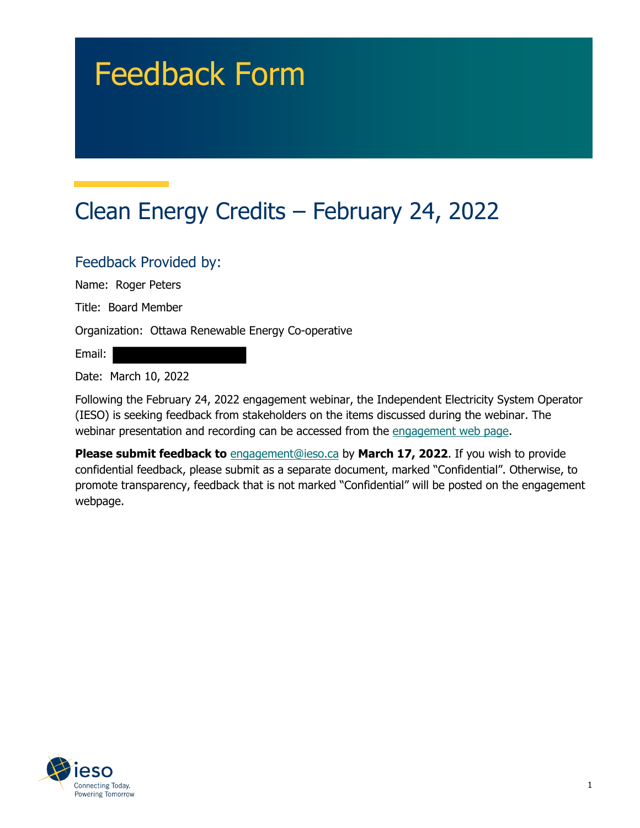# Feedback Form

# Clean Energy Credits – February 24, 2022

#### Feedback Provided by:

Name: Roger Peters

Title: Board Member

Organization: Ottawa Renewable Energy Co-operative

Email:

Date: March 10, 2022

Following the February 24, 2022 engagement webinar, the Independent Electricity System Operator (IESO) is seeking feedback from stakeholders on the items discussed during the webinar. The webinar presentation and recording can be accessed from the engagement web page.

**Please submit feedback to** engagement@ieso.ca by March 17, 2022. If you wish to provide confidential feedback, please submit as a separate document, marked "Confidential". Otherwise, to promote transparency, feedback that is not marked "Confidential" will be posted on the engagement webpage.

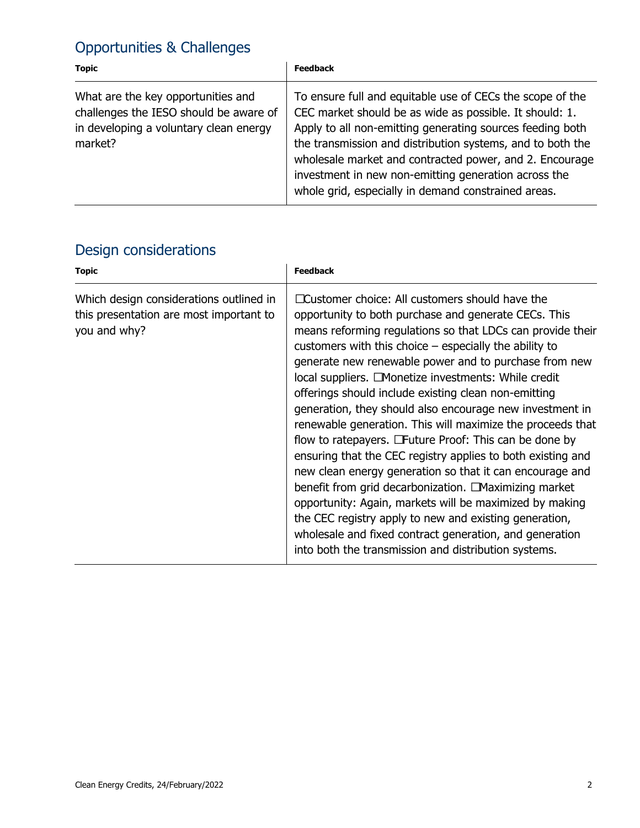## Opportunities & Challenges

| <b>Topic</b>                                                                                                                      | <b>Feedback</b>                                                                                                                                                                                                                                                                                                                                                                                                           |
|-----------------------------------------------------------------------------------------------------------------------------------|---------------------------------------------------------------------------------------------------------------------------------------------------------------------------------------------------------------------------------------------------------------------------------------------------------------------------------------------------------------------------------------------------------------------------|
| What are the key opportunities and<br>challenges the IESO should be aware of<br>in developing a voluntary clean energy<br>market? | To ensure full and equitable use of CECs the scope of the<br>CEC market should be as wide as possible. It should: 1.<br>Apply to all non-emitting generating sources feeding both<br>the transmission and distribution systems, and to both the<br>wholesale market and contracted power, and 2. Encourage<br>investment in new non-emitting generation across the<br>whole grid, especially in demand constrained areas. |

## Design considerations

| <b>Topic</b>                                                                                       | <b>Feedback</b>                                                                                                                                                                                                                                                                                                                                                                                                                                                                                                                                                                                                                                                                                                                                                                                                                                                                                                                                                                                                                     |
|----------------------------------------------------------------------------------------------------|-------------------------------------------------------------------------------------------------------------------------------------------------------------------------------------------------------------------------------------------------------------------------------------------------------------------------------------------------------------------------------------------------------------------------------------------------------------------------------------------------------------------------------------------------------------------------------------------------------------------------------------------------------------------------------------------------------------------------------------------------------------------------------------------------------------------------------------------------------------------------------------------------------------------------------------------------------------------------------------------------------------------------------------|
| Which design considerations outlined in<br>this presentation are most important to<br>you and why? | □ Customer choice: All customers should have the<br>opportunity to both purchase and generate CECs. This<br>means reforming regulations so that LDCs can provide their<br>customers with this choice $-$ especially the ability to<br>generate new renewable power and to purchase from new<br>local suppliers. □ Monetize investments: While credit<br>offerings should include existing clean non-emitting<br>generation, they should also encourage new investment in<br>renewable generation. This will maximize the proceeds that<br>flow to ratepayers. $\Box$ Future Proof: This can be done by<br>ensuring that the CEC registry applies to both existing and<br>new clean energy generation so that it can encourage and<br>benefit from grid decarbonization. □ Maximizing market<br>opportunity: Again, markets will be maximized by making<br>the CEC registry apply to new and existing generation,<br>wholesale and fixed contract generation, and generation<br>into both the transmission and distribution systems. |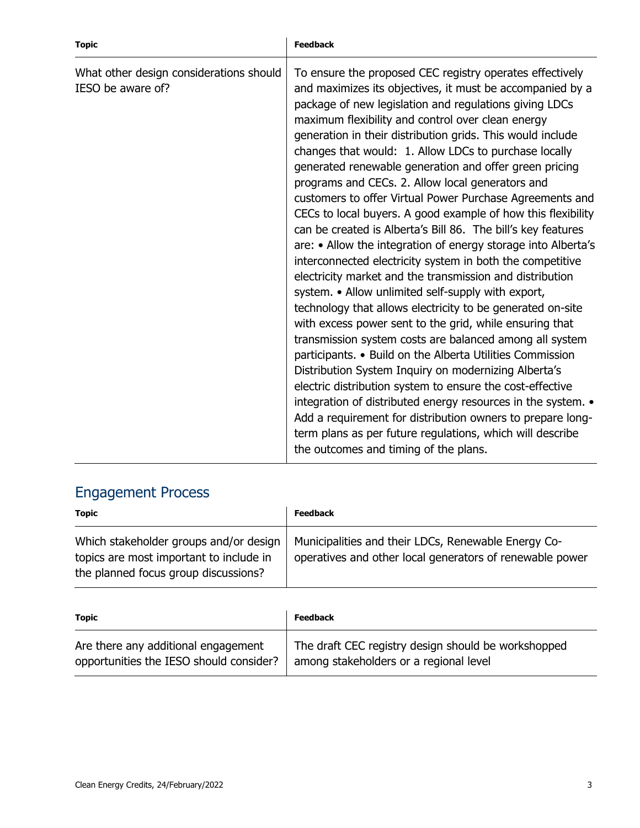| <b>Topic</b>                                                 | <b>Feedback</b>                                                                                                                                                                                                                                                                                                                                                                                                                                                                                                                                                                                                                                                                                                                                                                                                                                                                                                                                                                                                                                                                                                                                                                                                                                                                                                                                                                                                                                                                                                                 |
|--------------------------------------------------------------|---------------------------------------------------------------------------------------------------------------------------------------------------------------------------------------------------------------------------------------------------------------------------------------------------------------------------------------------------------------------------------------------------------------------------------------------------------------------------------------------------------------------------------------------------------------------------------------------------------------------------------------------------------------------------------------------------------------------------------------------------------------------------------------------------------------------------------------------------------------------------------------------------------------------------------------------------------------------------------------------------------------------------------------------------------------------------------------------------------------------------------------------------------------------------------------------------------------------------------------------------------------------------------------------------------------------------------------------------------------------------------------------------------------------------------------------------------------------------------------------------------------------------------|
| What other design considerations should<br>IESO be aware of? | To ensure the proposed CEC registry operates effectively<br>and maximizes its objectives, it must be accompanied by a<br>package of new legislation and regulations giving LDCs<br>maximum flexibility and control over clean energy<br>generation in their distribution grids. This would include<br>changes that would: 1. Allow LDCs to purchase locally<br>generated renewable generation and offer green pricing<br>programs and CECs. 2. Allow local generators and<br>customers to offer Virtual Power Purchase Agreements and<br>CECs to local buyers. A good example of how this flexibility<br>can be created is Alberta's Bill 86. The bill's key features<br>are: • Allow the integration of energy storage into Alberta's<br>interconnected electricity system in both the competitive<br>electricity market and the transmission and distribution<br>system. • Allow unlimited self-supply with export,<br>technology that allows electricity to be generated on-site<br>with excess power sent to the grid, while ensuring that<br>transmission system costs are balanced among all system<br>participants. • Build on the Alberta Utilities Commission<br>Distribution System Inquiry on modernizing Alberta's<br>electric distribution system to ensure the cost-effective<br>integration of distributed energy resources in the system. •<br>Add a requirement for distribution owners to prepare long-<br>term plans as per future regulations, which will describe<br>the outcomes and timing of the plans. |

## Engagement Process

| <b>Topic</b>                                                                                                              | <b>Feedback</b>                                                                                                 |
|---------------------------------------------------------------------------------------------------------------------------|-----------------------------------------------------------------------------------------------------------------|
| Which stakeholder groups and/or design<br>topics are most important to include in<br>the planned focus group discussions? | Municipalities and their LDCs, Renewable Energy Co-<br>operatives and other local generators of renewable power |

| <b>Topic</b>                            | <b>Feedback</b>                                     |
|-----------------------------------------|-----------------------------------------------------|
| Are there any additional engagement     | The draft CEC registry design should be workshopped |
| opportunities the IESO should consider? | among stakeholders or a regional level              |